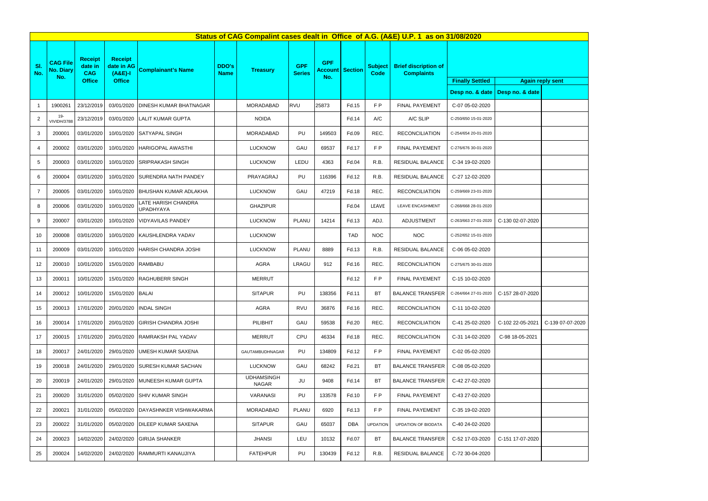| Status of CAG Compalint cases dealt in Office of A.G. (A&E) U.P. 1 as on 31/08/2020 |                                            |                                                          |                                                            |                                         |                             |                            |                             |                                     |                |                        |                                                            |                                                                                         |                  |                  |
|-------------------------------------------------------------------------------------|--------------------------------------------|----------------------------------------------------------|------------------------------------------------------------|-----------------------------------------|-----------------------------|----------------------------|-----------------------------|-------------------------------------|----------------|------------------------|------------------------------------------------------------|-----------------------------------------------------------------------------------------|------------------|------------------|
| SI.<br>No.                                                                          | <b>CAG File</b><br><b>No. Diary</b><br>No. | <b>Receipt</b><br>date in<br><b>CAG</b><br><b>Office</b> | <b>Receipt</b><br>date in AG<br>$(A&E)-I$<br><b>Office</b> | <b>Complainant's Name</b>               | <b>DDO's</b><br><b>Name</b> | <b>Treasury</b>            | <b>GPF</b><br><b>Series</b> | <b>GPF</b><br><b>Account</b><br>No. | <b>Section</b> | <b>Subject</b><br>Code | <b>Brief discription of</b><br><b>Complaints</b>           | <b>Finally Settled</b><br><b>Again reply sent</b><br>Desp no. & date<br>Desp no. & date |                  |                  |
| $\mathbf{1}$                                                                        | 1900261                                    | 23/12/2019                                               | 03/01/2020                                                 | <b>DINESH KUMAR BHATNAGAR</b>           |                             | MORADABAD                  | <b>RVU</b>                  | 25873                               | Fd.15          | FP                     | <b>FINAL PAYEMENT</b>                                      | C-07 05-02-2020                                                                         |                  |                  |
| $\overline{2}$                                                                      | $19 -$                                     | 23/12/2019                                               | 03/01/2020                                                 | <b>LALIT KUMAR GUPTA</b>                |                             | <b>NOIDA</b>               |                             |                                     | Fd.14          | A/C                    | A/C SLIP                                                   | C-250/650 15-01-2020                                                                    |                  |                  |
| 3                                                                                   | VIVIDH/3788<br>200001                      | 03/01/2020                                               | 10/01/2020                                                 | SATYAPAL SINGH                          |                             | MORADABAD                  | PU                          | 149503                              | Fd.09          | REC.                   | <b>RECONCILIATION</b>                                      | C-254/654 20-01-2020                                                                    |                  |                  |
|                                                                                     | 200002                                     | 03/01/2020                                               | 10/01/2020                                                 | <b>HARIGOPAL AWASTHI</b>                |                             | <b>LUCKNOW</b>             | GAU                         | 69537                               | Fd.17          | FP                     | <b>FINAL PAYEMENT</b>                                      |                                                                                         |                  |                  |
| 4                                                                                   |                                            |                                                          |                                                            |                                         |                             |                            |                             |                                     |                |                        |                                                            | C-276/676 30-01-2020                                                                    |                  |                  |
| 5                                                                                   | 200003                                     | 03/01/2020                                               | 10/01/2020                                                 | <b>SRIPRAKASH SINGH</b>                 |                             | <b>LUCKNOW</b>             | LEDU                        | 4363                                | Fd.04          | R.B.                   | RESIDUAL BALANCE                                           | C-34 19-02-2020                                                                         |                  |                  |
| 6                                                                                   | 200004                                     | 03/01/2020                                               | 10/01/2020                                                 | <b>ISURENDRA NATH PANDEY</b>            |                             | PRAYAGRAJ                  | PU                          | 116396                              | Fd.12          | R.B.                   | RESIDUAL BALANCE                                           | C-27 12-02-2020                                                                         |                  |                  |
| $\overline{7}$                                                                      | 200005                                     | 03/01/2020                                               | 10/01/2020                                                 | <b>BHUSHAN KUMAR ADLAKHA</b>            |                             | <b>LUCKNOW</b>             | GAU                         | 47219                               | Fd.18          | REC.                   | <b>RECONCILIATION</b>                                      | C-259/669 23-01-2020                                                                    |                  |                  |
| 8                                                                                   | 200006                                     | 03/01/2020                                               | 10/01/2020                                                 | LATE HARISH CHANDRA<br><b>UPADHYAYA</b> |                             | <b>GHAZIPUR</b>            |                             |                                     | Fd.04          | LEAVE                  | LEAVE ENCASHMENT                                           | C-268/668 28-01-2020                                                                    |                  |                  |
| 9                                                                                   | 200007                                     | 03/01/2020                                               | 10/01/2020                                                 | <b>VIDYAVILAS PANDEY</b>                |                             | <b>LUCKNOW</b>             | <b>PLANU</b>                | 14214                               | Fd.13          | ADJ.                   | ADJUSTMENT                                                 | C-263/663 27-01-2020                                                                    | C-130 02-07-2020 |                  |
| 10                                                                                  | 200008                                     | 03/01/2020                                               | 10/01/2020                                                 | KAUSHLENDRA YADAV                       |                             | <b>LUCKNOW</b>             |                             |                                     | <b>TAD</b>     | <b>NOC</b>             | <b>NOC</b>                                                 | C-252/652 15-01-2020                                                                    |                  |                  |
| 11                                                                                  | 200009                                     | 03/01/2020                                               | 10/01/2020                                                 | HARISH CHANDRA JOSHI                    |                             | <b>LUCKNOW</b>             | <b>PLANU</b>                | 8889                                | Fd.13          | R.B.                   | <b>RESIDUAL BALANCE</b>                                    | C-06 05-02-2020                                                                         |                  |                  |
| 12                                                                                  | 200010                                     | 10/01/2020                                               | 15/01/2020                                                 | <b>RAMBABU</b>                          |                             | AGRA                       | LRAGU                       | 912                                 | Fd.16          | REC.                   | <b>RECONCILIATION</b>                                      | C-275/675 30-01-2020                                                                    |                  |                  |
| 13                                                                                  | 200011                                     | 10/01/2020                                               | 15/01/2020                                                 | <b>RAGHUBERR SINGH</b>                  |                             | <b>MERRUT</b>              |                             |                                     | Fd.12          | FP                     | FINAL PAYEMENT                                             | C-15 10-02-2020                                                                         |                  |                  |
| 14                                                                                  | 200012                                     |                                                          | 10/01/2020 15/01/2020 BALAI                                |                                         |                             | <b>SITAPUR</b>             | PU                          | 138356                              | Fd.11          | <b>BT</b>              | BALANCE TRANSFER   C-264/664 27-01-2020   C-157 28-07-2020 |                                                                                         |                  |                  |
| 15                                                                                  | 200013                                     | 17/01/2020                                               | 20/01/2020                                                 | <b>INDAL SINGH</b>                      |                             | AGRA                       | RVU                         | 36876                               | Fd.16          | REC.                   | <b>RECONCILIATION</b>                                      | C-11 10-02-2020                                                                         |                  |                  |
| 16                                                                                  | 200014                                     | 17/01/2020                                               | 20/01/2020                                                 | <b>GIRISH CHANDRA JOSHI</b>             |                             | PILIBHIT                   | GAU                         | 59538                               | Fd.20          | REC.                   | <b>RECONCILIATION</b>                                      | C-41 25-02-2020                                                                         | C-102 22-05-2021 | C-139 07-07-2020 |
| 17                                                                                  | 200015                                     | 17/01/2020                                               | 20/01/2020                                                 | <b>RAMRAKSH PAL YADAV</b>               |                             | MERRUT                     | CPU                         | 46334                               | Fd.18          | REC.                   | <b>RECONCILIATION</b>                                      | C-31 14-02-2020                                                                         | C-98 18-05-2021  |                  |
| 18                                                                                  | 200017                                     | 24/01/2020                                               | 29/01/2020                                                 | UMESH KUMAR SAXENA                      |                             | GAUTAMBUDHNAGAR            | PU                          | 134809                              | Fd.12          | FP                     | FINAL PAYEMENT                                             | C-02 05-02-2020                                                                         |                  |                  |
| 19                                                                                  | 200018                                     | 24/01/2020                                               | 29/01/2020                                                 | <b>SURESH KUMAR SACHAN</b>              |                             | <b>LUCKNOW</b>             | GAU                         | 68242                               | Fd.21          | <b>BT</b>              | <b>BALANCE TRANSFER</b>                                    | C-08 05-02-2020                                                                         |                  |                  |
| 20                                                                                  | 200019                                     | 24/01/2020                                               | 29/01/2020                                                 | MUNEESH KUMAR GUPTA                     |                             | <b>UDHAMSINGH</b><br>NAGAR | JU                          | 9408                                | Fd.14          | <b>BT</b>              | <b>BALANCE TRANSFER</b>                                    | C-42 27-02-2020                                                                         |                  |                  |
| 21                                                                                  | 200020                                     | 31/01/2020                                               | 05/02/2020                                                 | <b>SHIV KUMAR SINGH</b>                 |                             | VARANASI                   | PU                          | 133578                              | Fd.10          | FP                     | <b>FINAL PAYEMENT</b>                                      | C-43 27-02-2020                                                                         |                  |                  |
| 22                                                                                  | 200021                                     | 31/01/2020                                               | 05/02/2020                                                 | DAYASHNKER VISHWAKARMA                  |                             | MORADABAD                  | <b>PLANU</b>                | 6920                                | Fd.13          | FP                     | <b>FINAL PAYEMENT</b>                                      | C-35 19-02-2020                                                                         |                  |                  |
| 23                                                                                  | 200022                                     | 31/01/2020                                               | 05/02/2020                                                 | DILEEP KUMAR SAXENA                     |                             | <b>SITAPUR</b>             | GAU                         | 65037                               | <b>DBA</b>     | <b>UPDATION</b>        | UPDATION OF BIODATA                                        | C-40 24-02-2020                                                                         |                  |                  |
| 24                                                                                  | 200023                                     | 14/02/2020                                               | 24/02/2020                                                 | <b>GIRIJA SHANKER</b>                   |                             | <b>JHANSI</b>              | LEU                         | 10132                               | Fd.07          | <b>BT</b>              | <b>BALANCE TRANSFER</b>                                    | C-52 17-03-2020                                                                         | C-151 17-07-2020 |                  |
| 25                                                                                  | 200024                                     | 14/02/2020                                               | 24/02/2020                                                 | <b>RAMMURTI KANAUJIYA</b>               |                             | <b>FATEHPUR</b>            | PU                          | 130439                              | Fd.12          | R.B.                   | RESIDUAL BALANCE                                           | C-72 30-04-2020                                                                         |                  |                  |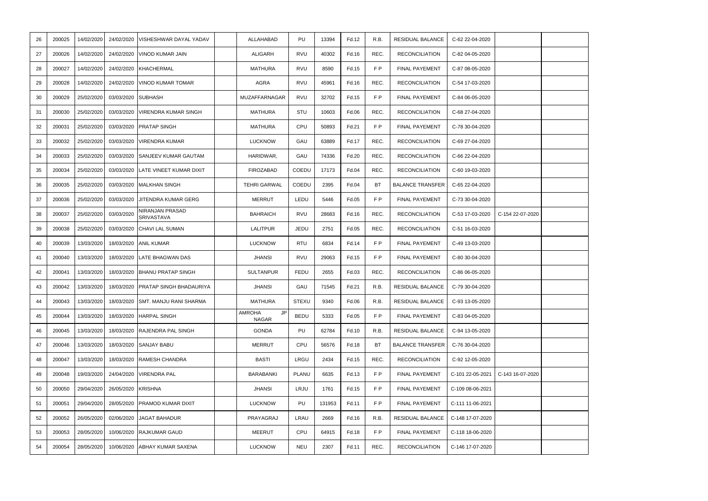| 26 | 200025 | 14/02/2020 | 24/02/2020 | VISHESHWAR DAYAL YADAV        | ALLAHABAD                    | PU           | 13394  | Fd.12 | R.B.           | RESIDUAL BALANCE        | C-62 22-04-2020  |                  |  |
|----|--------|------------|------------|-------------------------------|------------------------------|--------------|--------|-------|----------------|-------------------------|------------------|------------------|--|
| 27 | 200026 | 14/02/2020 | 24/02/2020 | VINOD KUMAR JAIN              | ALIGARH                      | RVU          | 40302  | Fd.16 | REC.           | <b>RECONCILIATION</b>   | C-82 04-05-2020  |                  |  |
| 28 | 200027 | 14/02/2020 | 24/02/2020 | <b>KHACHERMAL</b>             | <b>MATHURA</b>               | <b>RVU</b>   | 8590   | Fd.15 | FP             | <b>FINAL PAYEMENT</b>   | C-87 08-05-2020  |                  |  |
| 29 | 200028 | 14/02/2020 | 24/02/2020 | <b>VINOD KUMAR TOMAR</b>      | <b>AGRA</b>                  | <b>RVU</b>   | 45961  | Fd.16 | REC.           | <b>RECONCILIATION</b>   | C-54 17-03-2020  |                  |  |
| 30 | 200029 | 25/02/2020 | 03/03/2020 | <b>SUBHASH</b>                | MUZAFFARNAGAR                | RVU          | 32702  | Fd.15 | FP             | <b>FINAL PAYEMENT</b>   | C-84 06-05-2020  |                  |  |
| 31 | 200030 | 25/02/2020 | 03/03/2020 | <b>VIRENDRA KUMAR SINGH</b>   | MATHURA                      | STU          | 10603  | Fd.06 | REC.           | <b>RECONCILIATION</b>   | C-68 27-04-2020  |                  |  |
| 32 | 200031 | 25/02/2020 | 03/03/2020 | <b>PRATAP SINGH</b>           | MATHURA                      | CPU          | 50893  | Fd.21 | FP             | FINAL PAYEMENT          | C-78 30-04-2020  |                  |  |
| 33 | 200032 | 25/02/2020 | 03/03/2020 | <b>VIRENDRA KUMAR</b>         | <b>LUCKNOW</b>               | GAU          | 63889  | Fd.17 | REC.           | <b>RECONCILIATION</b>   | C-69 27-04-2020  |                  |  |
| 34 | 200033 | 25/02/2020 | 03/03/2020 | <b>SANJEEV KUMAR GAUTAM</b>   | HARIDWAR,                    | GAU          | 74336  | Fd.20 | REC.           | <b>RECONCILIATION</b>   | C-66 22-04-2020  |                  |  |
| 35 | 200034 | 25/02/2020 | 03/03/2020 | LATE VINEET KUMAR DIXIT       | FIROZABAD                    | COEDU        | 17173  | Fd.04 | REC.           | <b>RECONCILIATION</b>   | C-60 19-03-2020  |                  |  |
| 36 | 200035 | 25/02/2020 | 03/03/2020 | <b>MALKHAN SINGH</b>          | <b>TEHRI GARWAL</b>          | COEDU        | 2395   | Fd.04 | BT             | <b>BALANCE TRANSFER</b> | C-65 22-04-2020  |                  |  |
| 37 | 200036 | 25/02/2020 | 03/03/2020 | <b>JITENDRA KUMAR GERG</b>    | <b>MERRUT</b>                | LEDU         | 5446   | Fd.05 | FP             | <b>FINAL PAYEMENT</b>   | C-73 30-04-2020  |                  |  |
| 38 | 200037 | 25/02/2020 | 03/03/2020 | NIRANJAN PRASAD<br>SRIVASTAVA | <b>BAHRAICH</b>              | RVU          | 28683  | Fd.16 | REC.           | <b>RECONCILIATION</b>   | C-53 17-03-2020  | C-154 22-07-2020 |  |
| 39 | 200038 | 25/02/2020 | 03/03/2020 | CHAVI LAL SUMAN               | LALITPUR                     | JEDU         | 2751   | Fd.05 | REC.           | <b>RECONCILIATION</b>   | C-51 16-03-2020  |                  |  |
| 40 | 200039 | 13/03/2020 | 18/03/2020 | <b>ANIL KUMAR</b>             | <b>LUCKNOW</b>               | <b>RTU</b>   | 6834   | Fd.14 | F <sub>P</sub> | <b>FINAL PAYEMENT</b>   | C-49 13-03-2020  |                  |  |
| 41 | 200040 | 13/03/2020 | 18/03/2020 | LATE BHAGWAN DAS              | <b>JHANSI</b>                | RVU          | 29063  | Fd.15 | F <sub>P</sub> | <b>FINAL PAYEMENT</b>   | C-80 30-04-2020  |                  |  |
| 42 | 200041 | 13/03/2020 | 18/03/2020 | <b>BHANU PRATAP SINGH</b>     | <b>SULTANPUR</b>             | <b>FEDU</b>  | 2655   | Fd.03 | REC.           | <b>RECONCILIATION</b>   | C-86 06-05-2020  |                  |  |
| 43 | 200042 | 13/03/2020 | 18/03/2020 | PRATAP SINGH BHADAURIYA       | <b>JHANSI</b>                | GAU          | 71545  | Fd.21 | R.B.           | RESIDUAL BALANCE        | C-79 30-04-2020  |                  |  |
| 44 | 200043 | 13/03/2020 | 18/03/2020 | <b>SMT. MANJU RANI SHARMA</b> | <b>MATHURA</b>               | <b>STEXU</b> | 9340   | Fd.06 | R.B.           | RESIDUAL BALANCE        | C-93 13-05-2020  |                  |  |
| 45 | 200044 | 13/03/2020 | 18/03/2020 | <b>HARPAL SINGH</b>           | AMROHA<br>JP<br><b>NAGAR</b> | <b>BEDU</b>  | 5333   | Fd.05 | FP             | FINAL PAYEMENT          | C-83 04-05-2020  |                  |  |
| 46 | 200045 | 13/03/2020 | 18/03/2020 | <b>RAJENDRA PAL SINGH</b>     | GONDA                        | PU           | 62784  | Fd.10 | R.B.           | RESIDUAL BALANCE        | C-94 13-05-2020  |                  |  |
| 47 | 200046 | 13/03/2020 | 18/03/2020 | <b>SANJAY BABU</b>            | <b>MERRUT</b>                | CPU          | 56576  | Fd.18 | <b>BT</b>      | <b>BALANCE TRANSFER</b> | C-76 30-04-2020  |                  |  |
| 48 | 200047 | 13/03/2020 | 18/03/2020 | <b>RAMESH CHANDRA</b>         | BASTI                        | LRGU         | 2434   | Fd.15 | REC.           | <b>RECONCILIATION</b>   | C-92 12-05-2020  |                  |  |
| 49 | 200048 | 19/03/2020 | 24/04/2020 | VIRENDRA PAL                  | BARABANKI                    | <b>PLANU</b> | 6635   | Fd.13 | FP             | FINAL PAYEMENT          | C-101 22-05-2021 | C-143 16-07-2020 |  |
| 50 | 200050 | 29/04/2020 | 26/05/2020 | <b>KRISHNA</b>                | <b>JHANSI</b>                | LRJU         | 1761   | Fd.15 | FP.            | <b>FINAL PAYEMENT</b>   | C-109 08-06-2021 |                  |  |
| 51 | 200051 | 29/04/2020 | 28/05/2020 | PRAMOD KUMAR DIXIT            | <b>LUCKNOW</b>               | PU           | 131953 | Fd.11 | FP.            | <b>FINAL PAYEMENT</b>   | C-111 11-06-2021 |                  |  |
| 52 | 200052 | 26/05/2020 | 02/06/2020 | <b>JAGAT BAHADUR</b>          | PRAYAGRAJ                    | LRAU         | 2669   | Fd.16 | R.B.           | RESIDUAL BALANCE        | C-148 17-07-2020 |                  |  |
| 53 | 200053 | 28/05/2020 | 10/06/2020 | <b>RAJKUMAR GAUD</b>          | MEERUT                       | CPU          | 64915  | Fd.18 | FP             | FINAL PAYEMENT          | C-118 18-06-2020 |                  |  |
| 54 | 200054 | 28/05/2020 | 10/06/2020 | ABHAY KUMAR SAXENA            | <b>LUCKNOW</b>               | <b>NEU</b>   | 2307   | Fd.11 | REC.           | <b>RECONCILIATION</b>   | C-146 17-07-2020 |                  |  |